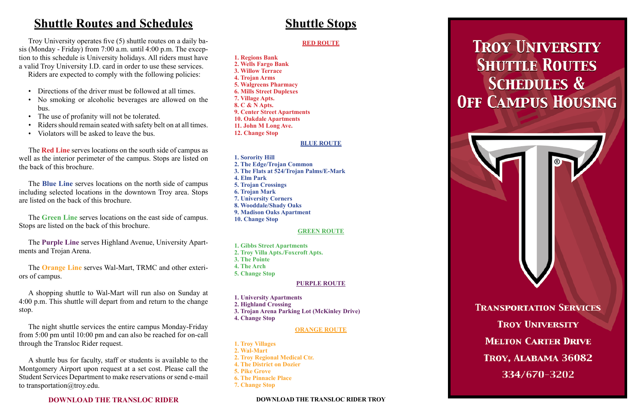## **Shuttle Routes and Schedules**

 Troy University operates five (5) shuttle routes on a daily basis (Monday - Friday) from 7:00 a.m. until 4:00 p.m. The exception to this schedule is University holidays. All riders must have a valid Troy University I.D. card in order to use these services.

- Directions of the driver must be followed at all times.
- No smoking or alcoholic beverages are allowed on the bus.
- The use of profanity will not be tolerated.
- Riders should remain seated with safety belt on at all times.
- Violators will be asked to leave the bus.

Riders are expected to comply with the following policies:

 The **Red Line** serves locations on the south side of campus as well as the interior perimeter of the campus. Stops are listed on the back of this brochure.

 A shuttle bus for faculty, staff or students is available to the Montgomery Airport upon request at a set cost. Please call the Student Services Department to make reservations or send e-mail to transportation@troy.edu.

 The **Blue Line** serves locations on the north side of campus including selected locations in the downtown Troy area. Stops are listed on the back of this brochure.

 The **Green Line** serves locations on the east side of campus. Stops are listed on the back of this brochure.

 The **Purple Line** serves Highland Avenue, University Apartments and Trojan Arena.

 The **Orange Line** serves Wal-Mart, TRMC and other exteriors of campus.

 A shopping shuttle to Wal-Mart will run also on Sunday at 4:00 p.m. This shuttle will depart from and return to the change stop.

 The night shuttle services the entire campus Monday-Friday from 5:00 pm until 10:00 pm and can also be reached for on-call through the Transloc Rider request.

### **DOWNLOAD THE TRANSLOC RIDER**

## **Shuttle Stops**

#### **RED ROUTE**

- **1. Regions Bank 2. Wells Fargo Bank 3. Willow Terrace**
- **4. Trojan Arms**
- **5. Walgreens Pharmacy 6. Mills Street Duplexes**
- **7. Village Apts.**
- **8. C & N Apts.**
- **9. Center Street Apartments**
- **10. Oakdale Apartments**
- **11. John M Long Ave.**
- **12. Change Stop**

#### **BLUE ROUTE**

- **1. Sorority Hill**
- **2. The Edge/Trojan Common**
- **3. The Flats at 524/Trojan Palms/E-Mark**
- **4. Elm Park**
- **5. Trojan Crossings**
- **6. Trojan Mark**
- **7. University Corners**
- **8. Wooddale/Shady Oaks**
- **9. Madison Oaks Apartment**
- **10. Change Stop**

#### **GREEN ROUTE**

- **1. Gibbs Street Apartments**
- **2. Troy Villa Apts./Foxcroft Apts.**
- **3. The Pointe**
- **4. The Arch**
- **5. Change Stop**

### **PURPLE ROUTE**

- **1. University Apartments**
- **2. Highland Crossing**
- **3. Trojan Arena Parking Lot (McKinley Drive)**
- **4. Change Stop**

#### **ORANGE ROUTE**

- **1. Troy Villages**
- **2. Wal-Mart**
- **2. Troy Regional Medical Ctr.**
- **4. The District on Dozier**
- **5. Pike Grove**
- **6. The Pinnacle Place**
- **7. Change Stop**

**DOWNLOAD THE TRANSLOC RIDER TROY**



# **TROY UNIVERSITY SHUTTLE ROUTES SCHEDULES & OFF CAMPUS HOUSING**

**TRANSPORTATION SERVICES TROY UNIVERSITY MELTON CARTER DRIVE** TROY, ALABAMA 36082 334/670-3202